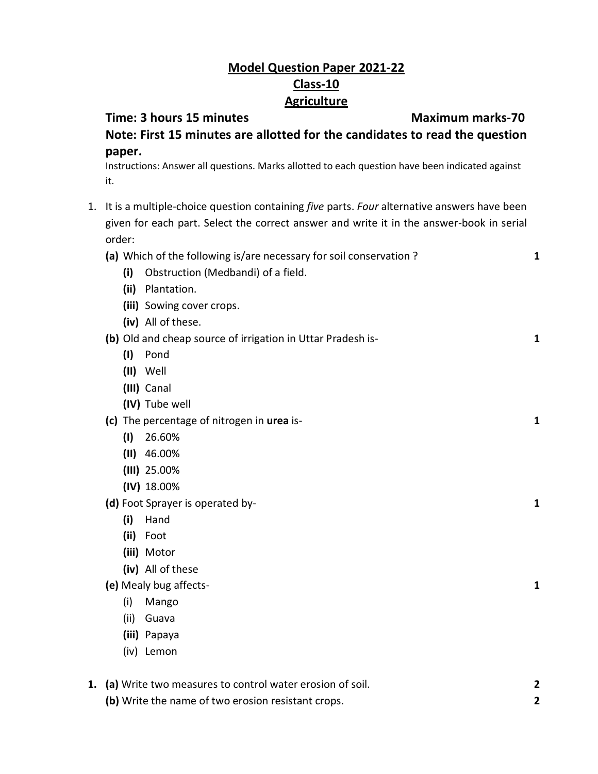## **Model Question Paper 2021-22 Class-10 Agriculture**

## **Time: 3 hours 15 minutes Maximum marks-70 Note: First 15 minutes are allotted for the candidates to read the question paper.**

Instructions: Answer all questions. Marks allotted to each question have been indicated against it.

- 1. It is a multiple-choice question containing *five* parts. *Four* alternative answers have been given for each part. Select the correct answer and write it in the answer-book in serial order:
- **(a)** Which of the following is/are necessary for soil conservation ? **1 (i)** Obstruction (Medbandi) of a field. **(ii)** Plantation. **(iii)** Sowing cover crops. **(iv)** All of these. **(b)** Old and cheap source of irrigation in Uttar Pradesh is- **1 (I)** Pond **(II)** Well **(III)** Canal **(IV)** Tube well **(c)** The percentage of nitrogen in **urea** is- **1 (I)** 26.60% **(II)** 46.00% **(III)** 25.00% **(IV)** 18.00% **(d)** Foot Sprayer is operated by- **1 (i)** Hand **(ii)** Foot **(iii)** Motor **(iv)** All of these **(e)** Mealy bug affects- **1** (i) Mango (ii) Guava **(iii)** Papaya (iv) Lemon **1. (a)** Write two measures to control water erosion of soil. **2**
	- **(b)** Write the name of two erosion resistant crops. **2**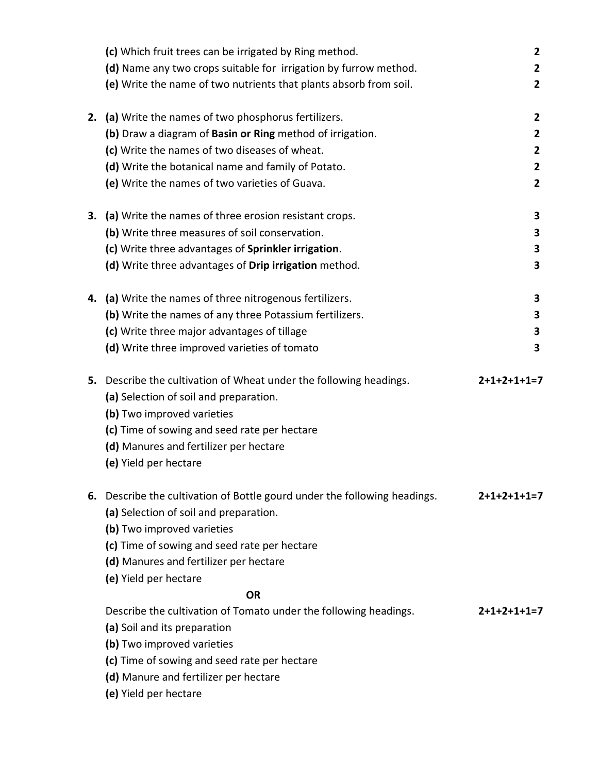|    | (c) Which fruit trees can be irrigated by Ring method.                 | $\mathbf{2}$   |
|----|------------------------------------------------------------------------|----------------|
|    | (d) Name any two crops suitable for irrigation by furrow method.       | $\overline{2}$ |
|    | (e) Write the name of two nutrients that plants absorb from soil.      | $\overline{2}$ |
|    |                                                                        |                |
| 2. | (a) Write the names of two phosphorus fertilizers.                     | 2              |
|    | (b) Draw a diagram of Basin or Ring method of irrigation.              | $\mathbf{2}$   |
|    | (c) Write the names of two diseases of wheat.                          | $\mathbf{2}$   |
|    | (d) Write the botanical name and family of Potato.                     | $\mathbf{2}$   |
|    | (e) Write the names of two varieties of Guava.                         | $\overline{2}$ |
|    |                                                                        |                |
| 3. | (a) Write the names of three erosion resistant crops.                  | 3              |
|    | (b) Write three measures of soil conservation.                         | 3              |
|    | (c) Write three advantages of Sprinkler irrigation.                    | 3              |
|    | (d) Write three advantages of Drip irrigation method.                  | 3              |
|    |                                                                        |                |
|    | 4. (a) Write the names of three nitrogenous fertilizers.               | 3              |
|    | (b) Write the names of any three Potassium fertilizers.                | 3              |
|    | (c) Write three major advantages of tillage                            | 3              |
|    | (d) Write three improved varieties of tomato                           | 3              |
|    |                                                                        |                |
|    | 5. Describe the cultivation of Wheat under the following headings.     | $2+1+2+1+1=7$  |
|    | (a) Selection of soil and preparation.                                 |                |
|    | (b) Two improved varieties                                             |                |
|    | (c) Time of sowing and seed rate per hectare                           |                |
|    | (d) Manures and fertilizer per hectare                                 |                |
|    | (e) Yield per hectare                                                  |                |
|    |                                                                        |                |
| 6. | Describe the cultivation of Bottle gourd under the following headings. | $2+1+2+1+1=7$  |
|    | (a) Selection of soil and preparation.                                 |                |
|    | (b) Two improved varieties                                             |                |
|    | (c) Time of sowing and seed rate per hectare                           |                |
|    | (d) Manures and fertilizer per hectare                                 |                |
|    | (e) Yield per hectare                                                  |                |
|    | <b>OR</b>                                                              |                |
|    | Describe the cultivation of Tomato under the following headings.       | $2+1+2+1+1=7$  |
|    | (a) Soil and its preparation                                           |                |
|    | (b) Two improved varieties                                             |                |
|    | (c) Time of sowing and seed rate per hectare                           |                |
|    | (d) Manure and fertilizer per hectare                                  |                |
|    | (e) Yield per hectare                                                  |                |
|    |                                                                        |                |